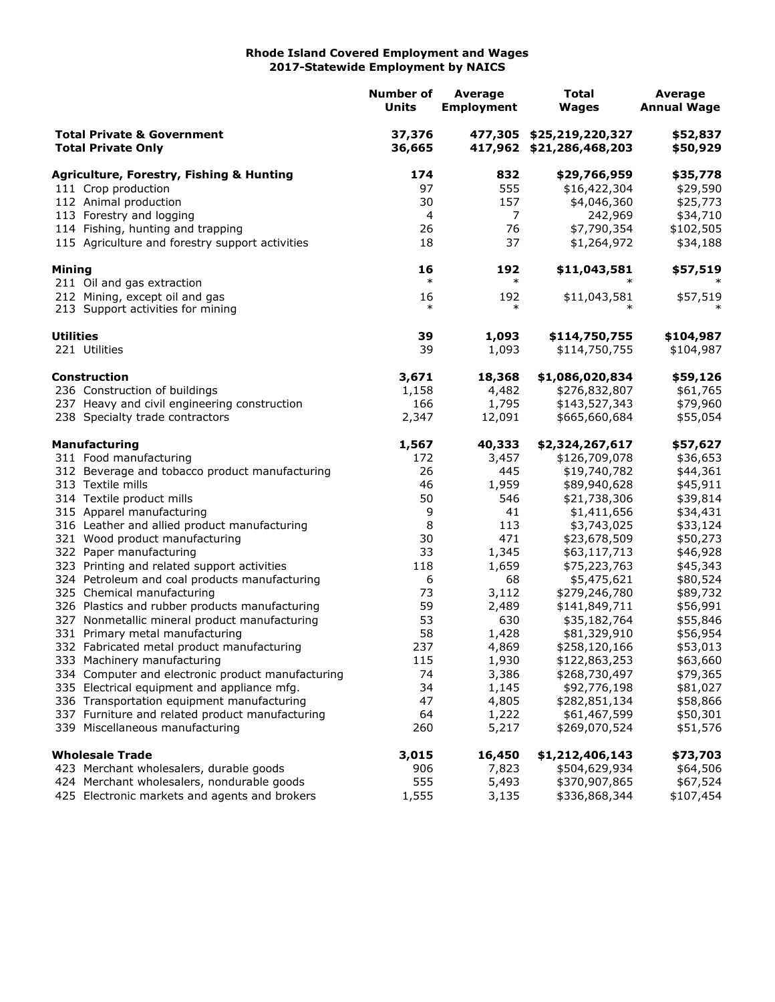## **Rhode Island Covered Employment and Wages 2017-Statewide Employment by NAICS**

|                                                                    |                                                                              | <b>Number of</b><br><b>Units</b> | <b>Average</b><br><b>Employment</b> | <b>Total</b><br><b>Wages</b>                         | <b>Average</b><br><b>Annual Wage</b> |
|--------------------------------------------------------------------|------------------------------------------------------------------------------|----------------------------------|-------------------------------------|------------------------------------------------------|--------------------------------------|
| <b>Total Private &amp; Government</b><br><b>Total Private Only</b> |                                                                              | 37,376<br>36,665                 |                                     | 477,305 \$25,219,220,327<br>417,962 \$21,286,468,203 | \$52,837<br>\$50,929                 |
|                                                                    | <b>Agriculture, Forestry, Fishing &amp; Hunting</b>                          | 174                              | 832                                 | \$29,766,959                                         | \$35,778                             |
|                                                                    | 111 Crop production                                                          | 97                               | 555                                 | \$16,422,304                                         | \$29,590                             |
|                                                                    | 112 Animal production                                                        | 30                               | 157                                 | \$4,046,360                                          | \$25,773                             |
|                                                                    | 113 Forestry and logging                                                     | 4                                | $\overline{7}$                      | 242,969                                              | \$34,710                             |
|                                                                    | 114 Fishing, hunting and trapping                                            | 26                               | 76                                  | \$7,790,354                                          | \$102,505                            |
|                                                                    | 115 Agriculture and forestry support activities                              | 18                               | 37                                  | \$1,264,972                                          | \$34,188                             |
| Mining                                                             |                                                                              | 16                               | 192                                 | \$11,043,581                                         | \$57,519                             |
|                                                                    | 211 Oil and gas extraction                                                   | $\ast$                           | $\ast$                              |                                                      |                                      |
|                                                                    | 212 Mining, except oil and gas                                               | 16                               | 192                                 | \$11,043,581                                         | \$57,519                             |
|                                                                    | 213 Support activities for mining                                            | $\ast$                           | $\ast$                              |                                                      |                                      |
| <b>Utilities</b>                                                   |                                                                              | 39                               | 1,093                               | \$114,750,755                                        | \$104,987                            |
|                                                                    | 221 Utilities                                                                | 39                               | 1,093                               | \$114,750,755                                        | \$104,987                            |
|                                                                    | Construction                                                                 | 3,671                            | 18,368                              | \$1,086,020,834                                      | \$59,126                             |
|                                                                    | 236 Construction of buildings                                                | 1,158                            | 4,482                               | \$276,832,807                                        | \$61,765                             |
|                                                                    | 237 Heavy and civil engineering construction                                 | 166                              | 1,795                               | \$143,527,343                                        | \$79,960                             |
|                                                                    | 238 Specialty trade contractors                                              | 2,347                            | 12,091                              | \$665,660,684                                        | \$55,054                             |
|                                                                    | <b>Manufacturing</b>                                                         | 1,567                            | 40,333                              | \$2,324,267,617                                      | \$57,627                             |
|                                                                    | 311 Food manufacturing                                                       | 172                              | 3,457                               | \$126,709,078                                        | \$36,653                             |
|                                                                    | 312 Beverage and tobacco product manufacturing                               | 26                               | 445                                 | \$19,740,782                                         | \$44,361                             |
|                                                                    | 313 Textile mills                                                            | 46                               | 1,959                               | \$89,940,628                                         | \$45,911                             |
|                                                                    | 314 Textile product mills                                                    | 50                               | 546                                 | \$21,738,306                                         | \$39,814                             |
|                                                                    | 315 Apparel manufacturing                                                    | 9                                | 41                                  | \$1,411,656                                          | \$34,431                             |
|                                                                    | 316 Leather and allied product manufacturing                                 | 8                                | 113                                 | \$3,743,025                                          | \$33,124                             |
|                                                                    | 321 Wood product manufacturing                                               | 30                               | 471                                 | \$23,678,509                                         | \$50,273                             |
|                                                                    | 322 Paper manufacturing                                                      | 33                               | 1,345                               | \$63,117,713                                         | \$46,928                             |
|                                                                    | 323 Printing and related support activities                                  | 118                              | 1,659                               | \$75,223,763                                         | \$45,343                             |
|                                                                    | 324 Petroleum and coal products manufacturing                                | 6                                | 68                                  | \$5,475,621                                          | \$80,524                             |
|                                                                    | 325 Chemical manufacturing<br>326 Plastics and rubber products manufacturing | 73<br>59                         | 3,112                               | \$279,246,780<br>\$141,849,711                       | \$89,732                             |
|                                                                    | 327 Nonmetallic mineral product manufacturing                                | 53                               | 2,489<br>630                        | \$35,182,764                                         | \$56,991<br>\$55,846                 |
|                                                                    | 331 Primary metal manufacturing                                              | 58                               | 1,428                               | \$81,329,910                                         | \$56,954                             |
|                                                                    | 332 Fabricated metal product manufacturing                                   | 237                              | 4,869                               | \$258,120,166                                        | \$53,013                             |
|                                                                    | 333 Machinery manufacturing                                                  | 115                              | 1,930                               | \$122,863,253                                        | \$63,660                             |
|                                                                    | 334 Computer and electronic product manufacturing                            | 74                               | 3,386                               | \$268,730,497                                        | \$79,365                             |
|                                                                    | 335 Electrical equipment and appliance mfg.                                  | 34                               | 1,145                               | \$92,776,198                                         | \$81,027                             |
|                                                                    | 336 Transportation equipment manufacturing                                   | 47                               | 4,805                               | \$282,851,134                                        | \$58,866                             |
|                                                                    | 337 Furniture and related product manufacturing                              | 64                               | 1,222                               | \$61,467,599                                         | \$50,301                             |
|                                                                    | 339 Miscellaneous manufacturing                                              | 260                              | 5,217                               | \$269,070,524                                        | \$51,576                             |
|                                                                    | <b>Wholesale Trade</b>                                                       | 3,015                            | 16,450                              | \$1,212,406,143                                      | \$73,703                             |
|                                                                    | 423 Merchant wholesalers, durable goods                                      | 906                              | 7,823                               | \$504,629,934                                        | \$64,506                             |
|                                                                    | 424 Merchant wholesalers, nondurable goods                                   | 555                              | 5,493                               | \$370,907,865                                        | \$67,524                             |
|                                                                    | 425 Electronic markets and agents and brokers                                | 1,555                            | 3,135                               | \$336,868,344                                        | \$107,454                            |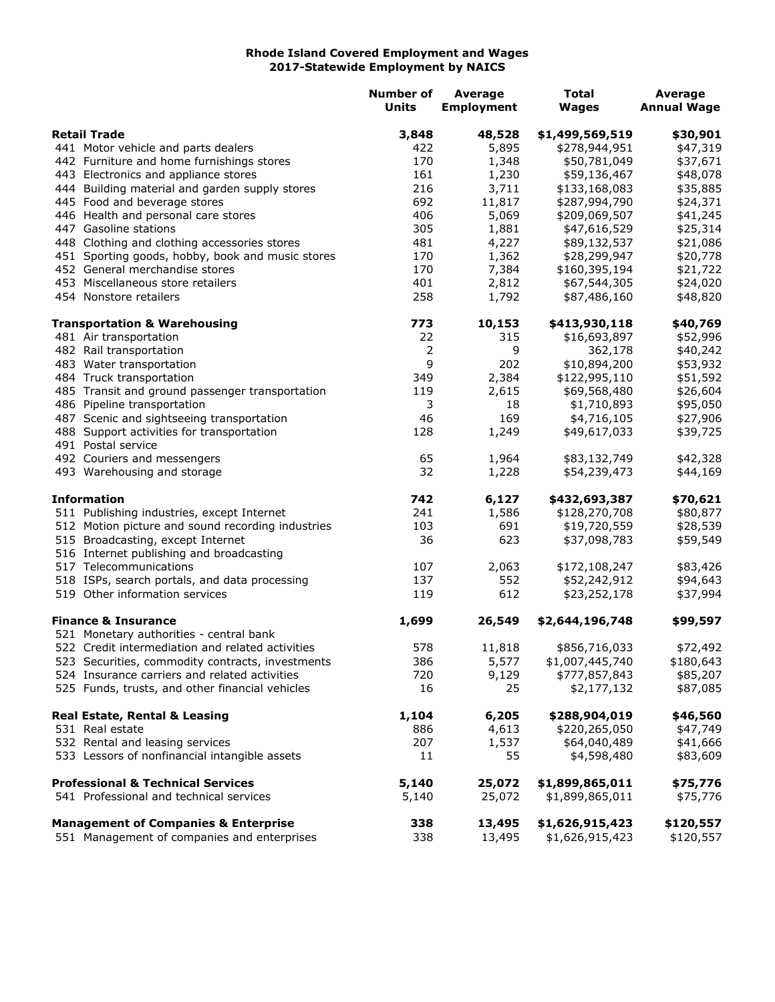## **Rhode Island Covered Employment and Wages 2017-Statewide Employment by NAICS**

|                     |                                                   | <b>Number of</b> | <b>Average</b>    | <b>Total</b>    | <b>Average</b>     |
|---------------------|---------------------------------------------------|------------------|-------------------|-----------------|--------------------|
|                     |                                                   | <b>Units</b>     | <b>Employment</b> | <b>Wages</b>    | <b>Annual Wage</b> |
| <b>Retail Trade</b> |                                                   | 3,848            | 48,528            | \$1,499,569,519 | \$30,901           |
|                     | 441 Motor vehicle and parts dealers               | 422              | 5,895             | \$278,944,951   | \$47,319           |
|                     | 442 Furniture and home furnishings stores         | 170              | 1,348             | \$50,781,049    | \$37,671           |
|                     | 443 Electronics and appliance stores              | 161              | 1,230             | \$59,136,467    | \$48,078           |
|                     | 444 Building material and garden supply stores    | 216              | 3,711             | \$133,168,083   | \$35,885           |
|                     | 445 Food and beverage stores                      | 692              | 11,817            | \$287,994,790   | \$24,371           |
|                     | 446 Health and personal care stores               | 406              | 5,069             | \$209,069,507   | \$41,245           |
|                     | 447 Gasoline stations                             | 305              | 1,881             | \$47,616,529    | \$25,314           |
|                     | 448 Clothing and clothing accessories stores      | 481              | 4,227             | \$89,132,537    | \$21,086           |
|                     | 451 Sporting goods, hobby, book and music stores  | 170              | 1,362             | \$28,299,947    | \$20,778           |
|                     | 452 General merchandise stores                    | 170              | 7,384             | \$160,395,194   | \$21,722           |
|                     | 453 Miscellaneous store retailers                 | 401              | 2,812             | \$67,544,305    | \$24,020           |
|                     | 454 Nonstore retailers                            | 258              | 1,792             | \$87,486,160    | \$48,820           |
|                     | <b>Transportation &amp; Warehousing</b>           | 773              | 10,153            | \$413,930,118   | \$40,769           |
|                     | 481 Air transportation                            | 22               | 315               | \$16,693,897    | \$52,996           |
|                     | 482 Rail transportation                           | 2                | 9                 | 362,178         | \$40,242           |
|                     | 483 Water transportation                          | 9                | 202               | \$10,894,200    | \$53,932           |
|                     | 484 Truck transportation                          | 349              | 2,384             | \$122,995,110   | \$51,592           |
|                     | 485 Transit and ground passenger transportation   | 119              | 2,615             | \$69,568,480    | \$26,604           |
|                     | 486 Pipeline transportation                       | 3                | 18                | \$1,710,893     | \$95,050           |
|                     | 487 Scenic and sightseeing transportation         | 46               | 169               | \$4,716,105     | \$27,906           |
|                     | 488 Support activities for transportation         | 128              | 1,249             | \$49,617,033    | \$39,725           |
|                     | 491 Postal service                                |                  |                   |                 |                    |
|                     | 492 Couriers and messengers                       | 65               | 1,964             | \$83,132,749    | \$42,328           |
|                     | 493 Warehousing and storage                       | 32               | 1,228             | \$54,239,473    | \$44,169           |
| <b>Information</b>  |                                                   | 742              | 6,127             | \$432,693,387   | \$70,621           |
|                     | 511 Publishing industries, except Internet        | 241              | 1,586             | \$128,270,708   | \$80,877           |
|                     | 512 Motion picture and sound recording industries | 103              | 691               | \$19,720,559    | \$28,539           |
|                     | 515 Broadcasting, except Internet                 | 36               | 623               | \$37,098,783    | \$59,549           |
|                     | 516 Internet publishing and broadcasting          |                  |                   |                 |                    |
|                     | 517 Telecommunications                            | 107              | 2,063             | \$172,108,247   | \$83,426           |
|                     | 518 ISPs, search portals, and data processing     | 137              | 552               | \$52,242,912    | \$94,643           |
|                     | 519 Other information services                    | 119              | 612               | \$23,252,178    | \$37,994           |
|                     | <b>Finance &amp; Insurance</b>                    | 1,699            | 26,549            | \$2,644,196,748 | \$99,597           |
|                     | 521 Monetary authorities - central bank           |                  |                   |                 |                    |
|                     | 522 Credit intermediation and related activities  | 578              | 11,818            | \$856,716,033   | \$72,492           |
|                     | 523 Securities, commodity contracts, investments  | 386              | 5,577             | \$1,007,445,740 | \$180,643          |
|                     | 524 Insurance carriers and related activities     | 720              | 9,129             | \$777,857,843   | \$85,207           |
|                     | 525 Funds, trusts, and other financial vehicles   | 16               | 25                | \$2,177,132     | \$87,085           |
|                     | <b>Real Estate, Rental &amp; Leasing</b>          | 1,104            | 6,205             | \$288,904,019   | \$46,560           |
|                     | 531 Real estate                                   | 886              | 4,613             | \$220,265,050   | \$47,749           |
|                     | 532 Rental and leasing services                   | 207              | 1,537             | \$64,040,489    | \$41,666           |
|                     | 533 Lessors of nonfinancial intangible assets     | 11               | 55                | \$4,598,480     | \$83,609           |
|                     | <b>Professional &amp; Technical Services</b>      | 5,140            | 25,072            | \$1,899,865,011 | \$75,776           |
|                     | 541 Professional and technical services           | 5,140            | 25,072            | \$1,899,865,011 | \$75,776           |
|                     | <b>Management of Companies &amp; Enterprise</b>   | 338              | 13,495            | \$1,626,915,423 | \$120,557          |
|                     | 551 Management of companies and enterprises       | 338              | 13,495            | \$1,626,915,423 | \$120,557          |